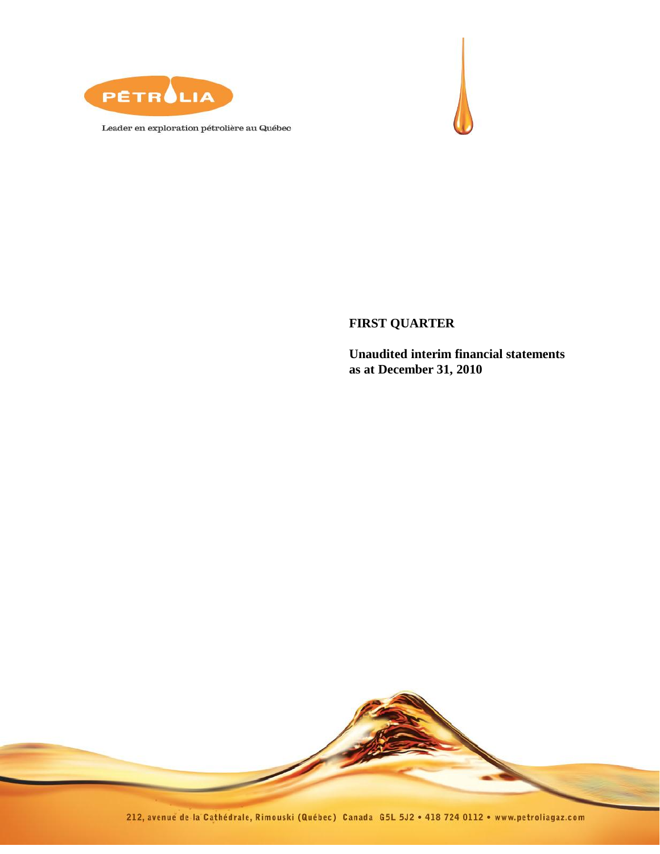

Leader en exploration pétrolière au Québec



**FIRST QUARTER**

**Unaudited interim financial statements as at December 31, 2010**

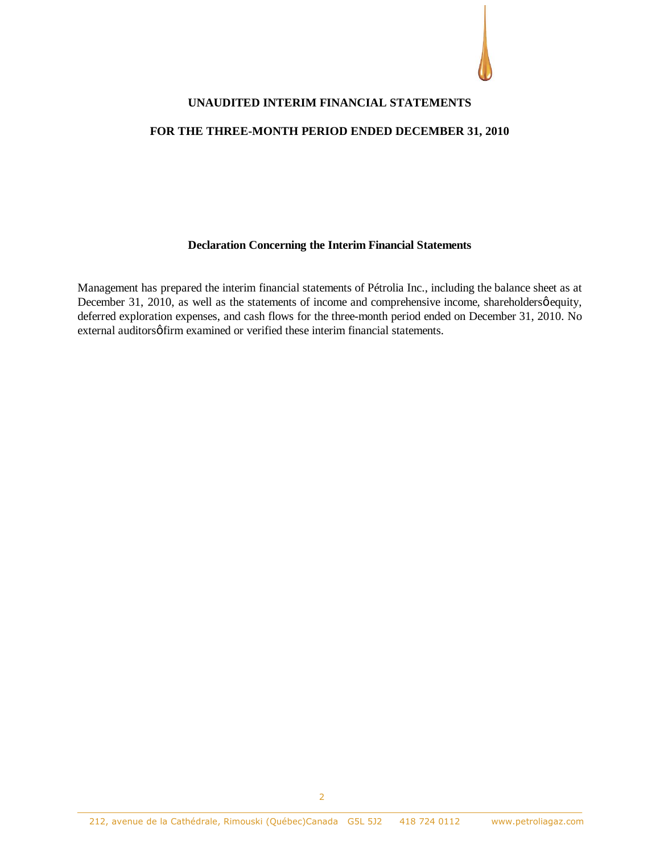

#### **UNAUDITED INTERIM FINANCIAL STATEMENTS**

#### **FOR THE THREE-MONTH PERIOD ENDED DECEMBER 31, 2010**

#### **Declaration Concerning the Interim Financial Statements**

Management has prepared the interim financial statements of Pétrolia Inc., including the balance sheet as at December 31, 2010, as well as the statements of income and comprehensive income, shareholdersø equity, deferred exploration expenses, and cash flows for the three-month period ended on December 31, 2010. No external auditors of firm examined or verified these interim financial statements.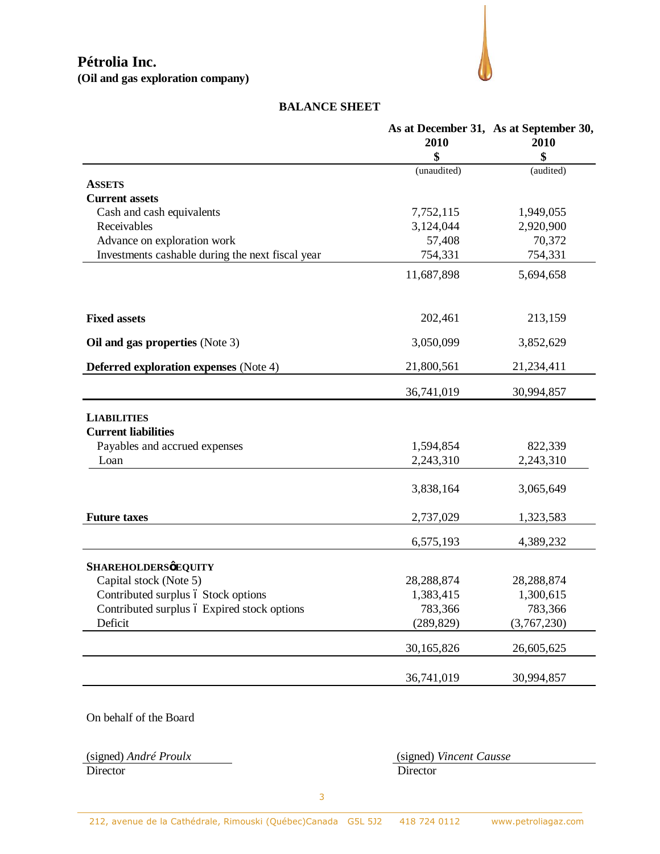

#### **BALANCE SHEET**

|                                                  |             | As at December 31, As at September 30, |
|--------------------------------------------------|-------------|----------------------------------------|
|                                                  | 2010        | 2010                                   |
|                                                  | \$          | \$                                     |
|                                                  | (unaudited) | (audited)                              |
| <b>ASSETS</b>                                    |             |                                        |
| <b>Current assets</b>                            |             |                                        |
| Cash and cash equivalents                        | 7,752,115   | 1,949,055                              |
| Receivables                                      | 3,124,044   | 2,920,900                              |
| Advance on exploration work                      | 57,408      | 70,372                                 |
| Investments cashable during the next fiscal year | 754,331     | 754,331                                |
|                                                  | 11,687,898  | 5,694,658                              |
|                                                  |             |                                        |
| <b>Fixed assets</b>                              | 202,461     | 213,159                                |
| Oil and gas properties (Note 3)                  | 3,050,099   | 3,852,629                              |
| <b>Deferred exploration expenses</b> (Note 4)    | 21,800,561  | 21,234,411                             |
|                                                  | 36,741,019  | 30,994,857                             |
| <b>LIABILITIES</b>                               |             |                                        |
| <b>Current liabilities</b>                       |             |                                        |
| Payables and accrued expenses                    | 1,594,854   | 822,339                                |
| Loan                                             | 2,243,310   | 2,243,310                              |
|                                                  |             |                                        |
|                                                  | 3,838,164   | 3,065,649                              |
| <b>Future taxes</b>                              | 2,737,029   | 1,323,583                              |
|                                                  | 6,575,193   | 4,389,232                              |
| <b>SHAREHOLDERSØEQUITY</b>                       |             |                                        |
| Capital stock (Note 5)                           | 28,288,874  | 28, 288, 874                           |
| Contributed surplus ó Stock options              | 1,383,415   | 1,300,615                              |
| Contributed surplus ó Expired stock options      | 783,366     | 783,366                                |
| Deficit                                          | (289, 829)  | (3,767,230)                            |
|                                                  | 30,165,826  | 26,605,625                             |
|                                                  | 36,741,019  | 30,994,857                             |
|                                                  |             |                                        |

On behalf of the Board

Director Director

(signed) *André Proulx* (signed) *Vincent Causse*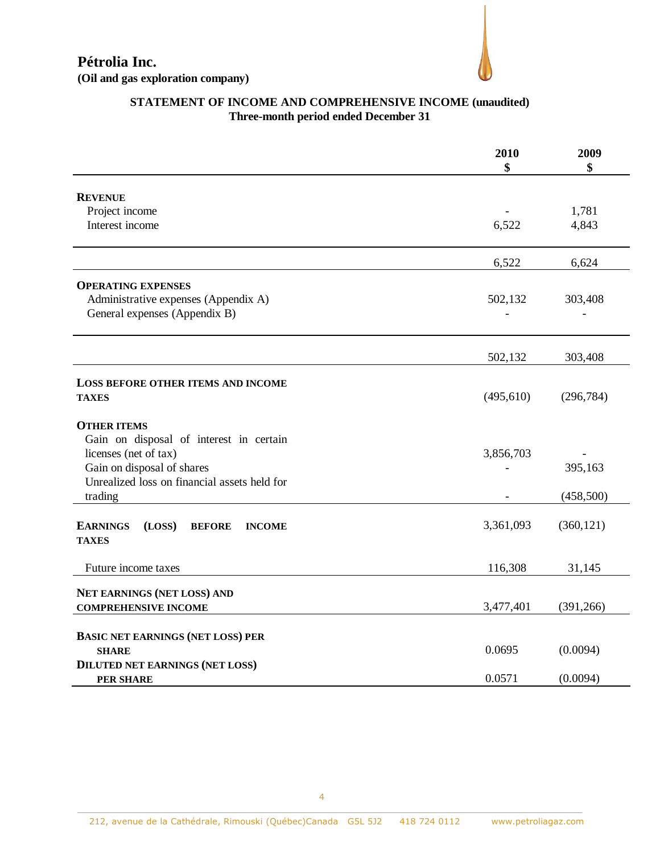

### **STATEMENT OF INCOME AND COMPREHENSIVE INCOME (unaudited) Three-month period ended December 31**

|                                                             | 2010<br>\$ | 2009<br>\$ |
|-------------------------------------------------------------|------------|------------|
| <b>REVENUE</b>                                              |            |            |
| Project income                                              |            | 1,781      |
| Interest income                                             | 6,522      | 4,843      |
|                                                             | 6,522      | 6,624      |
| <b>OPERATING EXPENSES</b>                                   |            |            |
| Administrative expenses (Appendix A)                        | 502,132    | 303,408    |
| General expenses (Appendix B)                               |            |            |
|                                                             | 502,132    | 303,408    |
|                                                             |            |            |
| LOSS BEFORE OTHER ITEMS AND INCOME                          |            |            |
| <b>TAXES</b>                                                | (495, 610) | (296, 784) |
| <b>OTHER ITEMS</b>                                          |            |            |
| Gain on disposal of interest in certain                     |            |            |
| licenses (net of tax)                                       | 3,856,703  |            |
| Gain on disposal of shares                                  |            | 395,163    |
| Unrealized loss on financial assets held for<br>trading     |            | (458,500)  |
|                                                             |            |            |
| <b>EARNINGS</b><br>(LOSS)<br><b>BEFORE</b><br><b>INCOME</b> | 3,361,093  | (360, 121) |
| <b>TAXES</b>                                                |            |            |
| Future income taxes                                         | 116,308    | 31,145     |
|                                                             |            |            |
| NET EARNINGS (NET LOSS) AND<br><b>COMPREHENSIVE INCOME</b>  | 3,477,401  | (391, 266) |
|                                                             |            |            |
| <b>BASIC NET EARNINGS (NET LOSS) PER</b>                    |            |            |
| <b>SHARE</b>                                                | 0.0695     | (0.0094)   |
| <b>DILUTED NET EARNINGS (NET LOSS)</b>                      |            |            |
| <b>PER SHARE</b>                                            | 0.0571     | (0.0094)   |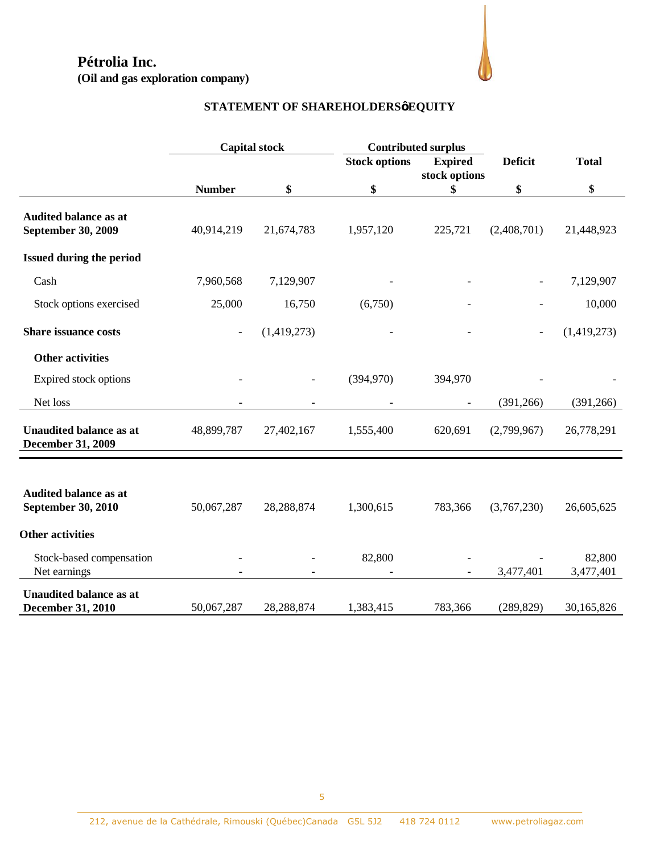**(Oil and gas exploration company)**



# **STATEMENT OF SHAREHOLDERS' EQUITY**

|                                                            | <b>Capital stock</b>     |                          |                      | <b>Contributed surplus</b> |                |                     |
|------------------------------------------------------------|--------------------------|--------------------------|----------------------|----------------------------|----------------|---------------------|
|                                                            |                          |                          | <b>Stock options</b> | <b>Expired</b>             | <b>Deficit</b> | <b>Total</b>        |
|                                                            |                          |                          |                      | stock options              |                |                     |
|                                                            | <b>Number</b>            | \$                       | \$                   | \$                         | \$             | \$                  |
| Audited balance as at<br>September 30, 2009                | 40,914,219               | 21,674,783               | 1,957,120            | 225,721                    | (2,408,701)    | 21,448,923          |
| Issued during the period                                   |                          |                          |                      |                            |                |                     |
| Cash                                                       | 7,960,568                | 7,129,907                |                      |                            |                | 7,129,907           |
| Stock options exercised                                    | 25,000                   | 16,750                   | (6,750)              |                            |                | 10,000              |
| <b>Share issuance costs</b>                                | $\overline{\phantom{a}}$ | (1,419,273)              |                      |                            | $\overline{a}$ | (1,419,273)         |
| <b>Other activities</b>                                    |                          |                          |                      |                            |                |                     |
| Expired stock options                                      |                          |                          | (394,970)            | 394,970                    |                |                     |
| Net loss                                                   |                          | $\overline{\phantom{a}}$ |                      | $\overline{\phantom{a}}$   | (391, 266)     | (391,266)           |
| <b>Unaudited balance as at</b><br><b>December 31, 2009</b> | 48,899,787               | 27,402,167               | 1,555,400            | 620,691                    | (2,799,967)    | 26,778,291          |
|                                                            |                          |                          |                      |                            |                |                     |
| <b>Audited balance as at</b><br>September 30, 2010         | 50,067,287               | 28,288,874               | 1,300,615            | 783,366                    | (3,767,230)    | 26,605,625          |
| <b>Other activities</b>                                    |                          |                          |                      |                            |                |                     |
| Stock-based compensation<br>Net earnings                   |                          |                          | 82,800               |                            | 3,477,401      | 82,800<br>3,477,401 |
| <b>Unaudited balance as at</b><br><b>December 31, 2010</b> | 50,067,287               | 28,288,874               | 1,383,415            | 783,366                    | (289, 829)     | 30,165,826          |
|                                                            |                          |                          |                      |                            |                |                     |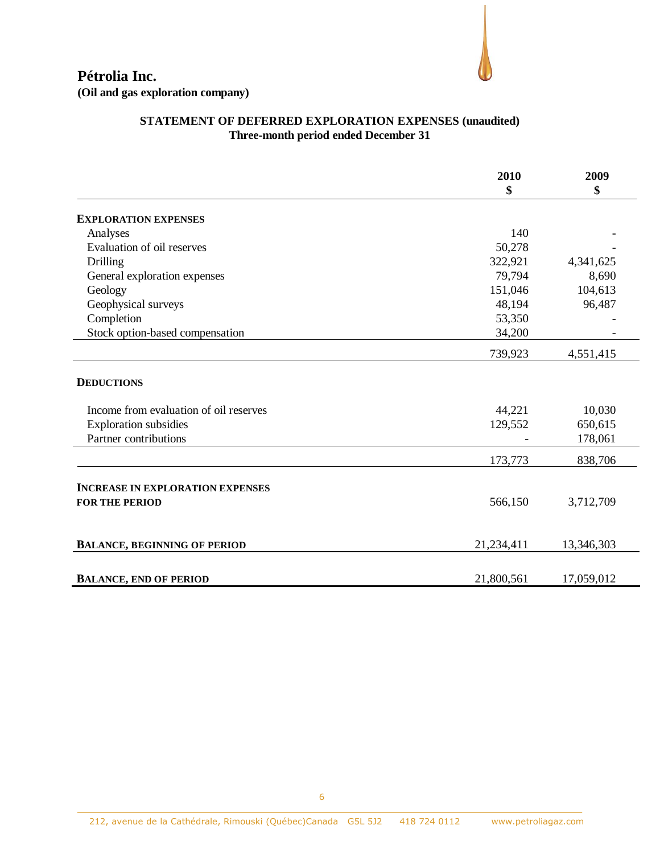

### **STATEMENT OF DEFERRED EXPLORATION EXPENSES (unaudited) Three-month period ended December 31**

|                                         | 2010<br>\$ | 2009<br>\$ |
|-----------------------------------------|------------|------------|
|                                         |            |            |
| <b>EXPLORATION EXPENSES</b>             |            |            |
| Analyses                                | 140        |            |
| Evaluation of oil reserves              | 50,278     |            |
| <b>Drilling</b>                         | 322,921    | 4,341,625  |
| General exploration expenses            | 79,794     | 8,690      |
| Geology                                 | 151,046    | 104,613    |
| Geophysical surveys                     | 48,194     | 96,487     |
| Completion                              | 53,350     |            |
| Stock option-based compensation         | 34,200     |            |
|                                         | 739,923    | 4,551,415  |
| <b>DEDUCTIONS</b>                       |            |            |
| Income from evaluation of oil reserves  | 44,221     | 10,030     |
| <b>Exploration subsidies</b>            | 129,552    | 650,615    |
| Partner contributions                   |            | 178,061    |
|                                         | 173,773    | 838,706    |
| <b>INCREASE IN EXPLORATION EXPENSES</b> |            |            |
| <b>FOR THE PERIOD</b>                   | 566,150    | 3,712,709  |
| <b>BALANCE, BEGINNING OF PERIOD</b>     | 21,234,411 | 13,346,303 |
|                                         |            |            |
| <b>BALANCE, END OF PERIOD</b>           | 21,800,561 | 17,059,012 |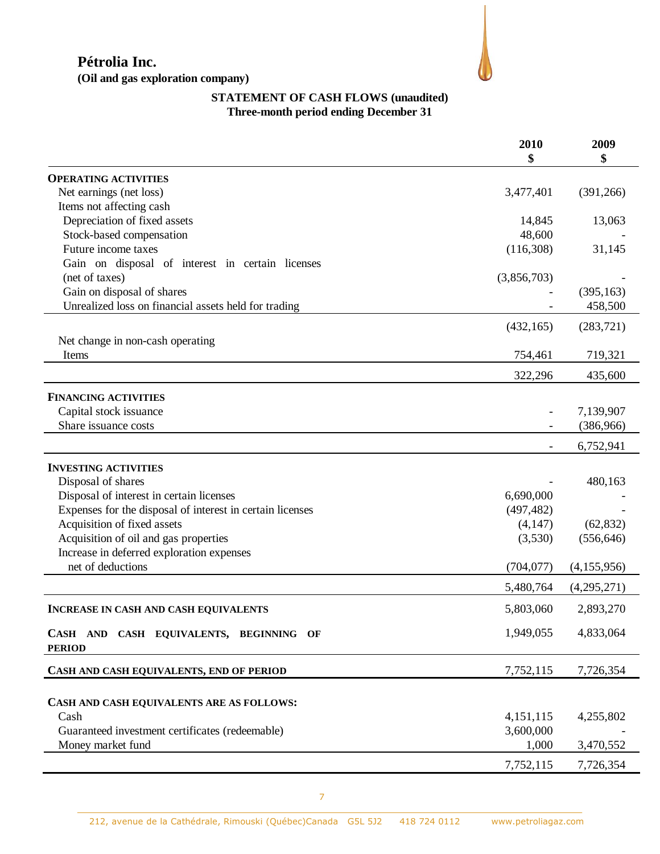

# **STATEMENT OF CASH FLOWS (unaudited) Three-month period ending December 31**

|                                                           | 2010<br>\$  | 2009<br>\$  |
|-----------------------------------------------------------|-------------|-------------|
| <b>OPERATING ACTIVITIES</b>                               |             |             |
| Net earnings (net loss)                                   | 3,477,401   | (391, 266)  |
| Items not affecting cash                                  |             |             |
| Depreciation of fixed assets                              | 14,845      | 13,063      |
| Stock-based compensation                                  | 48,600      |             |
| Future income taxes                                       | (116,308)   | 31,145      |
| Gain on disposal of interest in certain licenses          |             |             |
| (net of taxes)                                            | (3,856,703) |             |
| Gain on disposal of shares                                |             | (395, 163)  |
| Unrealized loss on financial assets held for trading      |             | 458,500     |
|                                                           | (432, 165)  | (283, 721)  |
| Net change in non-cash operating                          |             |             |
| Items                                                     | 754,461     | 719,321     |
|                                                           | 322,296     | 435,600     |
| <b>FINANCING ACTIVITIES</b>                               |             |             |
| Capital stock issuance                                    |             | 7,139,907   |
| Share issuance costs                                      |             | (386,966)   |
|                                                           |             | 6,752,941   |
| <b>INVESTING ACTIVITIES</b>                               |             |             |
| Disposal of shares                                        |             | 480,163     |
| Disposal of interest in certain licenses                  | 6,690,000   |             |
| Expenses for the disposal of interest in certain licenses | (497, 482)  |             |
| Acquisition of fixed assets                               | (4,147)     | (62, 832)   |
| Acquisition of oil and gas properties                     | (3,530)     | (556, 646)  |
| Increase in deferred exploration expenses                 |             |             |
| net of deductions                                         | (704, 077)  | (4,155,956) |
|                                                           | 5,480,764   | (4,295,271) |
| <b>INCREASE IN CASH AND CASH EQUIVALENTS</b>              | 5,803,060   | 2,893,270   |
| CASH AND CASH EQUIVALENTS, BEGINNING OF                   | 1,949,055   | 4,833,064   |
| <b>PERIOD</b>                                             |             |             |
| CASH AND CASH EQUIVALENTS, END OF PERIOD                  | 7,752,115   | 7,726,354   |
|                                                           |             |             |
| CASH AND CASH EQUIVALENTS ARE AS FOLLOWS:                 |             |             |
| Cash                                                      | 4,151,115   | 4,255,802   |
| Guaranteed investment certificates (redeemable)           | 3,600,000   |             |
| Money market fund                                         | 1,000       | 3,470,552   |
|                                                           | 7,752,115   | 7,726,354   |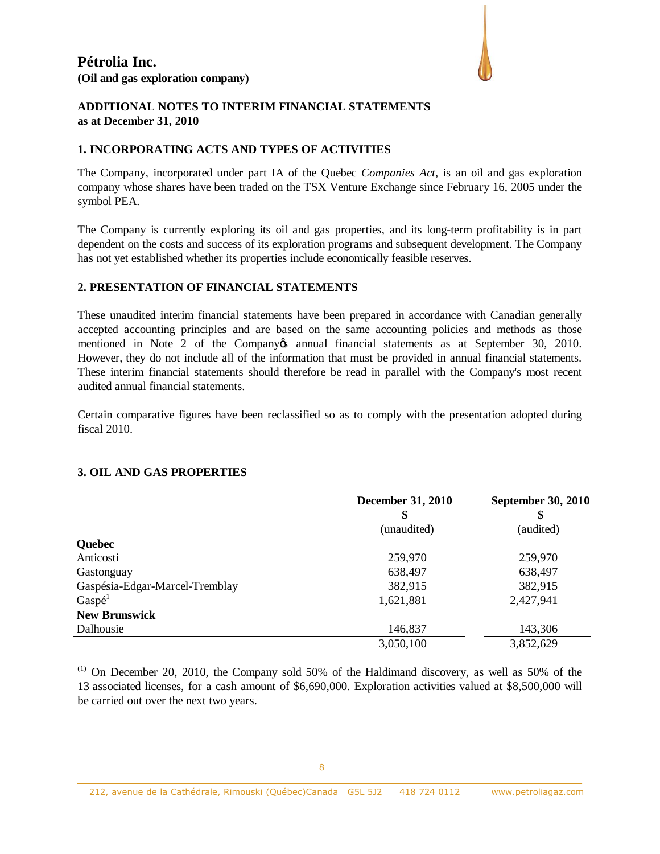

#### **ADDITIONAL NOTES TO INTERIM FINANCIAL STATEMENTS as at December 31, 2010**

#### **1. INCORPORATING ACTS AND TYPES OF ACTIVITIES**

The Company, incorporated under part IA of the Quebec *Companies Act*, is an oil and gas exploration company whose shares have been traded on the TSX Venture Exchange since February 16, 2005 under the symbol PEA.

The Company is currently exploring its oil and gas properties, and its long-term profitability is in part dependent on the costs and success of its exploration programs and subsequent development. The Company has not yet established whether its properties include economically feasible reserves.

#### **2. PRESENTATION OF FINANCIAL STATEMENTS**

These unaudited interim financial statements have been prepared in accordance with Canadian generally accepted accounting principles and are based on the same accounting policies and methods as those mentioned in Note 2 of the Company os annual financial statements as at September 30, 2010. However, they do not include all of the information that must be provided in annual financial statements. These interim financial statements should therefore be read in parallel with the Company's most recent audited annual financial statements.

Certain comparative figures have been reclassified so as to comply with the presentation adopted during fiscal 2010.

#### **3. OIL AND GAS PROPERTIES**

|                                | <b>December 31, 2010</b> | <b>September 30, 2010</b> |
|--------------------------------|--------------------------|---------------------------|
|                                | (unaudited)              | (audited)                 |
| <b>Quebec</b>                  |                          |                           |
| Anticosti                      | 259,970                  | 259,970                   |
| Gastonguay                     | 638,497                  | 638,497                   |
| Gaspésia-Edgar-Marcel-Tremblay | 382,915                  | 382,915                   |
| Gasp <sup>d</sup>              | 1,621,881                | 2,427,941                 |
| <b>New Brunswick</b>           |                          |                           |
| Dalhousie                      | 146,837                  | 143,306                   |
|                                | 3,050,100                | 3,852,629                 |

 $(1)$  On December 20, 2010, the Company sold 50% of the Haldimand discovery, as well as 50% of the 13 associated licenses, for a cash amount of \$6,690,000. Exploration activities valued at \$8,500,000 will be carried out over the next two years.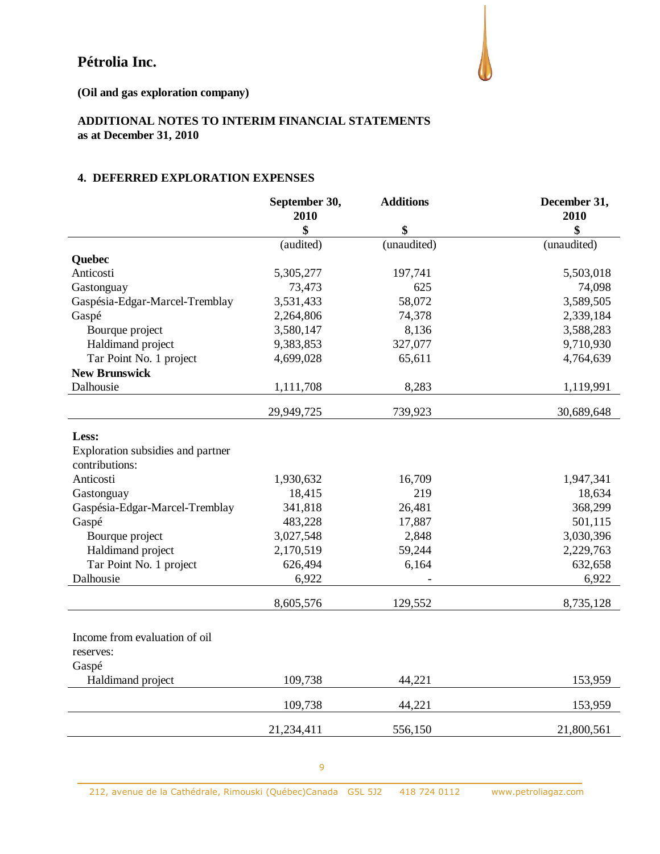**(Oil and gas exploration company)**

## **ADDITIONAL NOTES TO INTERIM FINANCIAL STATEMENTS as at December 31, 2010**

#### **4. DEFERRED EXPLORATION EXPENSES**

|                                   | September 30,<br>2010 | <b>Additions</b> | December 31,<br>2010 |
|-----------------------------------|-----------------------|------------------|----------------------|
|                                   | \$                    | \$               | \$                   |
|                                   | (audited)             | (unaudited)      | (unaudited)          |
| Quebec                            |                       |                  |                      |
| Anticosti                         | 5,305,277             | 197,741          | 5,503,018            |
| Gastonguay                        | 73,473                | 625              | 74,098               |
| Gaspésia-Edgar-Marcel-Tremblay    | 3,531,433             | 58,072           | 3,589,505            |
| Gaspé                             | 2,264,806             | 74,378           | 2,339,184            |
| Bourque project                   | 3,580,147             | 8,136            | 3,588,283            |
| Haldimand project                 | 9,383,853             | 327,077          | 9,710,930            |
| Tar Point No. 1 project           | 4,699,028             | 65,611           | 4,764,639            |
| <b>New Brunswick</b>              |                       |                  |                      |
| Dalhousie                         | 1,111,708             | 8,283            | 1,119,991            |
|                                   | 29,949,725            | 739,923          | 30,689,648           |
| Less:                             |                       |                  |                      |
| Exploration subsidies and partner |                       |                  |                      |
| contributions:                    |                       |                  |                      |
| Anticosti                         | 1,930,632             | 16,709           | 1,947,341            |
| Gastonguay                        | 18,415                | 219              | 18,634               |
| Gaspésia-Edgar-Marcel-Tremblay    | 341,818               | 26,481           | 368,299              |
| Gaspé                             | 483,228               | 17,887           | 501,115              |
| Bourque project                   | 3,027,548             | 2,848            | 3,030,396            |
| Haldimand project                 | 2,170,519             | 59,244           | 2,229,763            |
| Tar Point No. 1 project           | 626,494               | 6,164            | 632,658              |
| Dalhousie                         | 6,922                 |                  | 6,922                |
|                                   | 8,605,576             | 129,552          | 8,735,128            |
| Income from evaluation of oil     |                       |                  |                      |
| reserves:                         |                       |                  |                      |
| Gaspé                             |                       |                  |                      |
| Haldimand project                 | 109,738               | 44,221           | 153,959              |
|                                   |                       |                  |                      |
|                                   | 109,738               | 44,221           | 153,959              |
|                                   | 21,234,411            | 556,150          | 21,800,561           |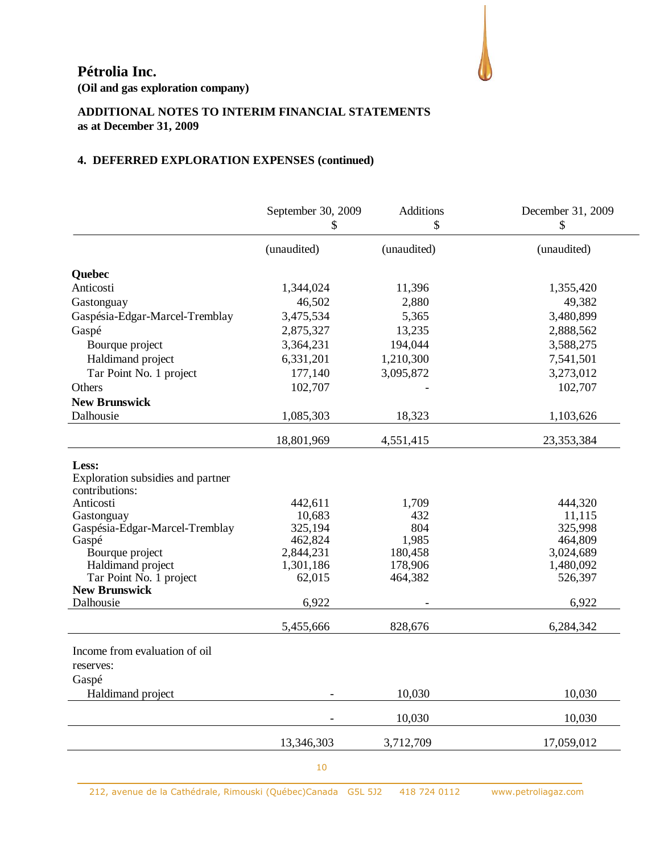**(Oil and gas exploration company)**

# **ADDITIONAL NOTES TO INTERIM FINANCIAL STATEMENTS as at December 31, 2009**

## **4. DEFERRED EXPLORATION EXPENSES (continued)**

|                                   | September 30, 2009   | <b>Additions</b><br>\$ | December 31, 2009    |
|-----------------------------------|----------------------|------------------------|----------------------|
|                                   | \$                   |                        | \$                   |
|                                   | (unaudited)          | (unaudited)            | (unaudited)          |
| Quebec                            |                      |                        |                      |
| Anticosti                         | 1,344,024            | 11,396                 | 1,355,420            |
| Gastonguay                        | 46,502               | 2,880                  | 49,382               |
| Gaspésia-Edgar-Marcel-Tremblay    | 3,475,534            | 5,365                  | 3,480,899            |
| Gaspé                             | 2,875,327            | 13,235                 | 2,888,562            |
| Bourque project                   | 3,364,231            | 194,044                | 3,588,275            |
| Haldimand project                 | 6,331,201            | 1,210,300              | 7,541,501            |
| Tar Point No. 1 project           | 177,140              | 3,095,872              | 3,273,012            |
| Others                            | 102,707              |                        | 102,707              |
| <b>New Brunswick</b>              |                      |                        |                      |
| Dalhousie                         | 1,085,303            | 18,323                 | 1,103,626            |
|                                   | 18,801,969           | 4,551,415              | 23,353,384           |
| Less:                             |                      |                        |                      |
| Exploration subsidies and partner |                      |                        |                      |
| contributions:                    |                      |                        |                      |
| Anticosti                         | 442,611              | 1,709                  | 444,320              |
| Gastonguay                        | 10,683               | 432                    | 11,115               |
| Gaspésia-Edgar-Marcel-Tremblay    | 325,194              | 804                    | 325,998              |
| Gaspé<br>Bourque project          | 462,824<br>2,844,231 | 1,985<br>180,458       | 464,809<br>3,024,689 |
| Haldimand project                 | 1,301,186            | 178,906                | 1,480,092            |
| Tar Point No. 1 project           | 62,015               | 464,382                | 526,397              |
| <b>New Brunswick</b>              |                      |                        |                      |
| Dalhousie                         | 6,922                |                        | 6,922                |
|                                   | 5,455,666            | 828,676                | 6,284,342            |
| Income from evaluation of oil     |                      |                        |                      |
| reserves:                         |                      |                        |                      |
| Gaspé                             |                      |                        |                      |
| Haldimand project                 |                      | 10,030                 | 10,030               |
|                                   |                      | 10,030                 | 10,030               |
|                                   | 13,346,303           | 3,712,709              | 17,059,012           |
|                                   |                      |                        |                      |

10

212, avenue de la Cathédrale, Rimouski (Québec)Canada G5L 5J2 418 724 0112 www.petroliagaz.com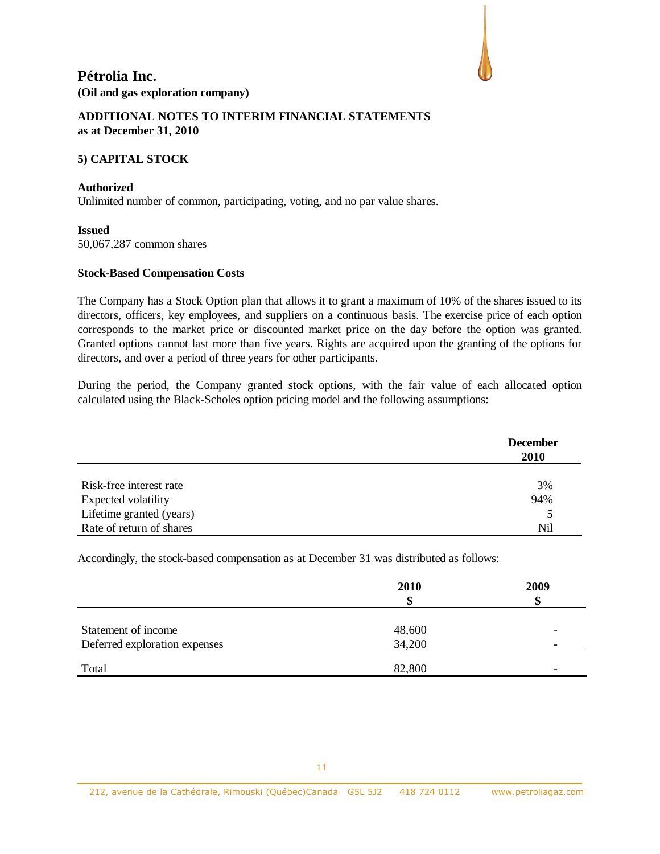

#### **ADDITIONAL NOTES TO INTERIM FINANCIAL STATEMENTS as at December 31, 2010**

#### **5) CAPITAL STOCK**

#### **Authorized**

Unlimited number of common, participating, voting, and no par value shares.

#### **Issued**

50,067,287 common shares

#### **Stock-Based Compensation Costs**

The Company has a Stock Option plan that allows it to grant a maximum of 10% of the shares issued to its directors, officers, key employees, and suppliers on a continuous basis. The exercise price of each option corresponds to the market price or discounted market price on the day before the option was granted. Granted options cannot last more than five years. Rights are acquired upon the granting of the options for directors, and over a period of three years for other participants.

During the period, the Company granted stock options, with the fair value of each allocated option calculated using the Black-Scholes option pricing model and the following assumptions:

|                          | <b>December</b><br><b>2010</b> |
|--------------------------|--------------------------------|
| Risk-free interest rate  | 3%                             |
| Expected volatility      | 94%                            |
| Lifetime granted (years) | 5                              |
| Rate of return of shares | Nil                            |

Accordingly, the stock-based compensation as at December 31 was distributed as follows:

|                               | 2010    | 2009 |
|-------------------------------|---------|------|
|                               | œ<br>۰D |      |
|                               |         |      |
| Statement of income           | 48,600  |      |
| Deferred exploration expenses | 34,200  | -    |
|                               |         |      |
| Total                         | 82,800  | -    |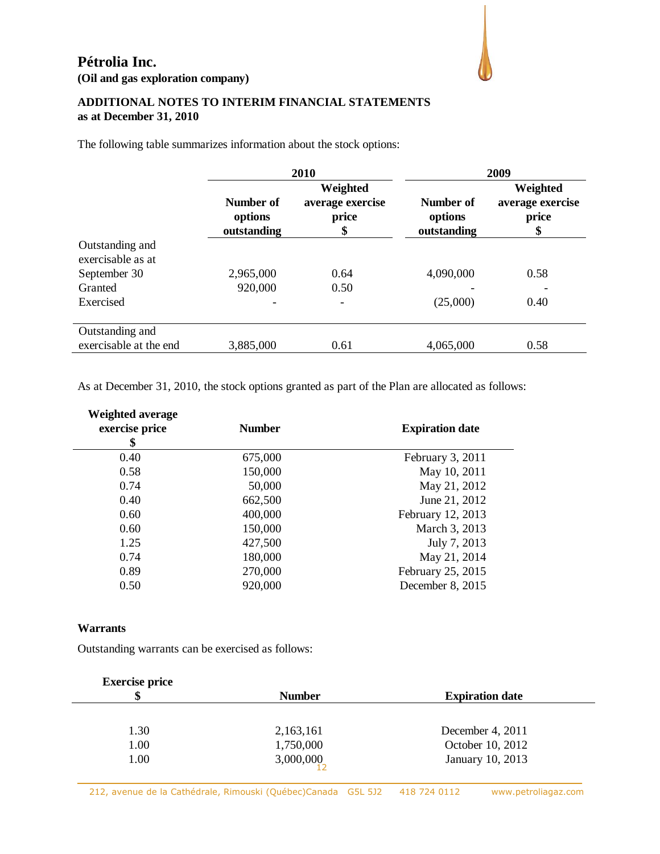

## **ADDITIONAL NOTES TO INTERIM FINANCIAL STATEMENTS as at December 31, 2010**

The following table summarizes information about the stock options:

|                                      | 2010                                |                                             |                                     | 2009                                        |
|--------------------------------------|-------------------------------------|---------------------------------------------|-------------------------------------|---------------------------------------------|
|                                      | Number of<br>options<br>outstanding | Weighted<br>average exercise<br>price<br>\$ | Number of<br>options<br>outstanding | Weighted<br>average exercise<br>price<br>\$ |
| Outstanding and<br>exercisable as at |                                     |                                             |                                     |                                             |
| September 30                         | 2,965,000                           | 0.64                                        | 4,090,000                           | 0.58                                        |
| Granted                              | 920,000                             | 0.50                                        |                                     |                                             |
| Exercised                            |                                     |                                             | (25,000)                            | 0.40                                        |
| Outstanding and                      |                                     |                                             |                                     |                                             |
| exercisable at the end               | 3,885,000                           | 0.61                                        | 4,065,000                           | 0.58                                        |

As at December 31, 2010, the stock options granted as part of the Plan are allocated as follows:

| <b>Weighted average</b><br>exercise price<br>\$ | <b>Number</b> | <b>Expiration date</b> |
|-------------------------------------------------|---------------|------------------------|
| 0.40                                            | 675,000       | February 3, 2011       |
| 0.58                                            | 150,000       | May 10, 2011           |
| 0.74                                            | 50,000        | May 21, 2012           |
| 0.40                                            | 662,500       | June 21, 2012          |
| 0.60                                            | 400,000       | February 12, 2013      |
| 0.60                                            | 150,000       | March 3, 2013          |
| 1.25                                            | 427,500       | July 7, 2013           |
| 0.74                                            | 180,000       | May 21, 2014           |
| 0.89                                            | 270,000       | February 25, 2015      |
| 0.50                                            | 920,000       | December 8, 2015       |
|                                                 |               |                        |

#### **Warrants**

Outstanding warrants can be exercised as follows:

| <b>Exercise price</b> |               |                        |  |
|-----------------------|---------------|------------------------|--|
| \$                    | <b>Number</b> | <b>Expiration date</b> |  |
|                       |               |                        |  |
| 1.30                  | 2,163,161     | December 4, 2011       |  |
| 1.00                  | 1,750,000     | October 10, 2012       |  |
| 1.00                  | 3,000,000     | January 10, 2013       |  |